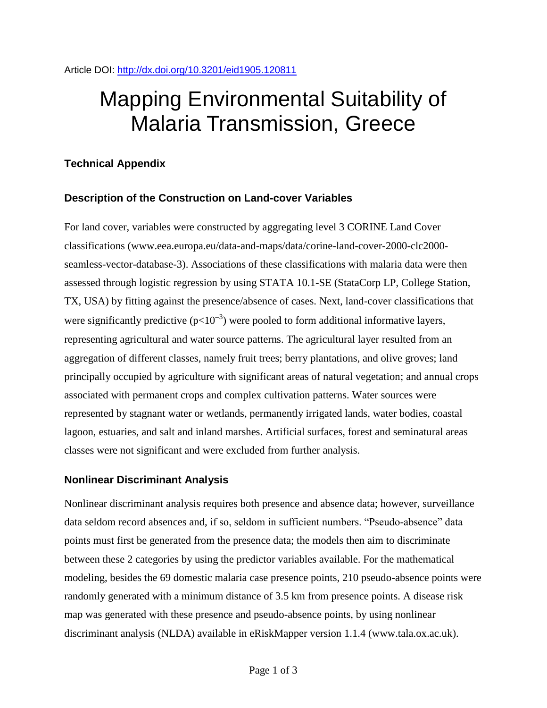# Mapping Environmental Suitability of Malaria Transmission, Greece

### **Technical Appendix**

#### **Description of the Construction on Land-cover Variables**

For land cover, variables were constructed by aggregating level 3 CORINE Land Cover classifications (www.eea.europa.eu/data-and-maps/data/corine-land-cover-2000-clc2000 seamless-vector-database-3). Associations of these classifications with malaria data were then assessed through logistic regression by using STATA 10.1-SE (StataCorp LP, College Station, TX, USA) by fitting against the presence/absence of cases. Next, land-cover classifications that were significantly predictive ( $p<10^{-3}$ ) were pooled to form additional informative layers, representing agricultural and water source patterns. The agricultural layer resulted from an aggregation of different classes, namely fruit trees; berry plantations, and olive groves; land principally occupied by agriculture with significant areas of natural vegetation; and annual crops associated with permanent crops and complex cultivation patterns. Water sources were represented by stagnant water or wetlands, permanently irrigated lands, water bodies, coastal lagoon, estuaries, and salt and inland marshes. Artificial surfaces, forest and seminatural areas classes were not significant and were excluded from further analysis.

#### **Nonlinear Discriminant Analysis**

Nonlinear discriminant analysis requires both presence and absence data; however, surveillance data seldom record absences and, if so, seldom in sufficient numbers. "Pseudo-absence" data points must first be generated from the presence data; the models then aim to discriminate between these 2 categories by using the predictor variables available. For the mathematical modeling, besides the 69 domestic malaria case presence points, 210 pseudo-absence points were randomly generated with a minimum distance of 3.5 km from presence points. A disease risk map was generated with these presence and pseudo-absence points, by using nonlinear discriminant analysis (NLDA) available in eRiskMapper version 1.1.4 (www.tala.ox.ac.uk).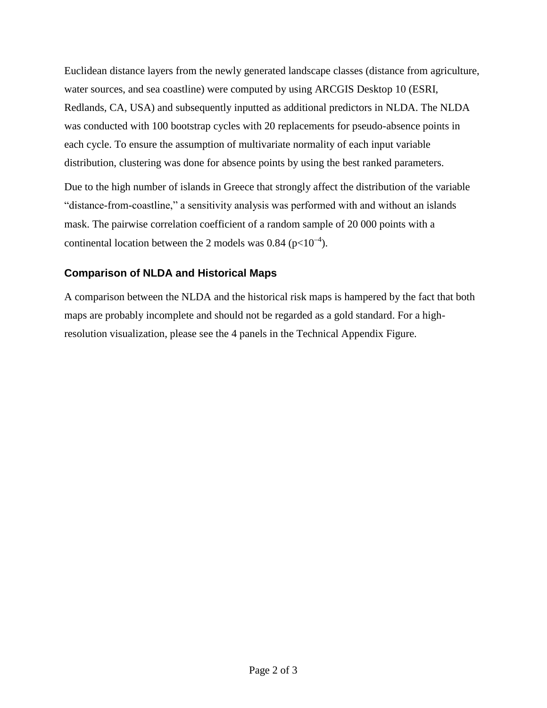Euclidean distance layers from the newly generated landscape classes (distance from agriculture, water sources, and sea coastline) were computed by using ARCGIS Desktop 10 (ESRI, Redlands, CA, USA) and subsequently inputted as additional predictors in NLDA. The NLDA was conducted with 100 bootstrap cycles with 20 replacements for pseudo-absence points in each cycle. To ensure the assumption of multivariate normality of each input variable distribution, clustering was done for absence points by using the best ranked parameters.

Due to the high number of islands in Greece that strongly affect the distribution of the variable "distance-from-coastline," a sensitivity analysis was performed with and without an islands mask. The pairwise correlation coefficient of a random sample of 20 000 points with a continental location between the 2 models was 0.84 ( $p<10^{-4}$ ).

## **Comparison of NLDA and Historical Maps**

A comparison between the NLDA and the historical risk maps is hampered by the fact that both maps are probably incomplete and should not be regarded as a gold standard. For a highresolution visualization, please see the 4 panels in the Technical Appendix Figure.